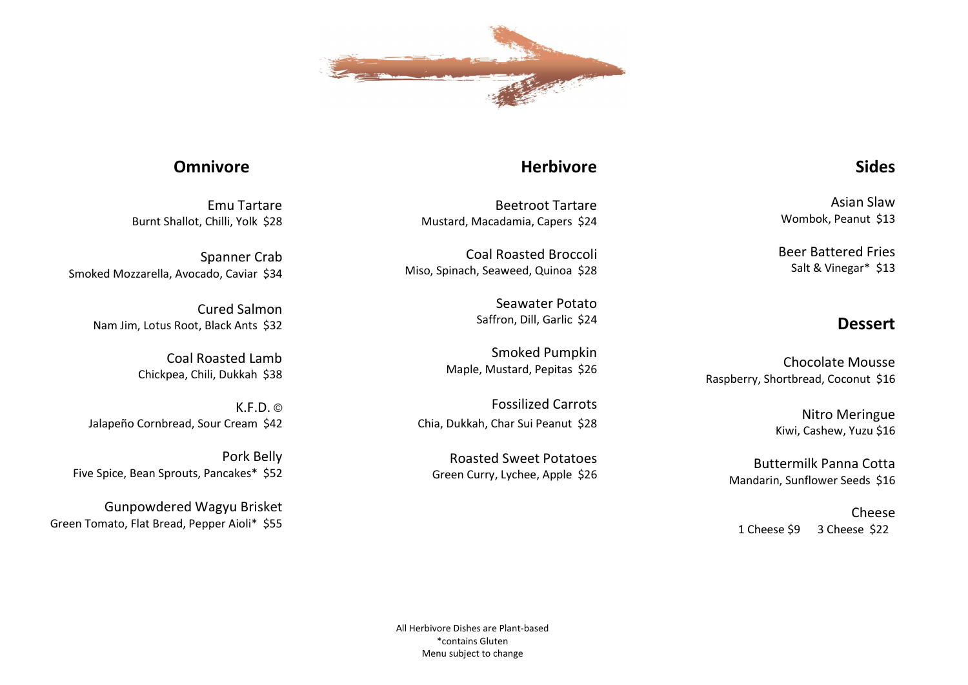

 Asian Slaw Wombok, Peanut \$13

 Beer Battered Fries Salt & Vinegar\* \$13

## Dessert

Sides

Chocolate Mousse Raspberry, Shortbread, Coconut \$16

> Nitro Meringue Kiwi, Cashew, Yuzu \$16

Buttermilk Panna Cotta Mandarin, Sunflower Seeds \$16

Cheese 1 Cheese \$9 3 Cheese \$22

## **Herbivore**

 Beetroot Tartare Mustard, Macadamia, Capers \$24

 Coal Roasted Broccoli Miso, Spinach, Seaweed, Quinoa \$28

> Seawater Potato Saffron, Dill, Garlic \$24

 Smoked Pumpkin Maple, Mustard, Pepitas \$26

Fossilized Carrots Chia, Dukkah, Char Sui Peanut \$28

Roasted Sweet Potatoes Green Curry, Lychee, Apple \$26

## **Omnivore**

Emu Tartare Burnt Shallot, Chilli, Yolk \$28

Spanner Crab Smoked Mozzarella, Avocado, Caviar \$34

> Cured Salmon Nam Jim, Lotus Root, Black Ants \$32

> > Coal Roasted Lamb Chickpea, Chili, Dukkah \$38

 $K.F.D.$   $\odot$ Jalapeño Cornbread, Sour Cream \$42

Pork Belly Five Spice, Bean Sprouts, Pancakes\* \$52

Gunpowdered Wagyu Brisket Green Tomato, Flat Bread, Pepper Aioli\* \$55

> All Herbivore Dishes are Plant-based \*contains Gluten Menu subject to change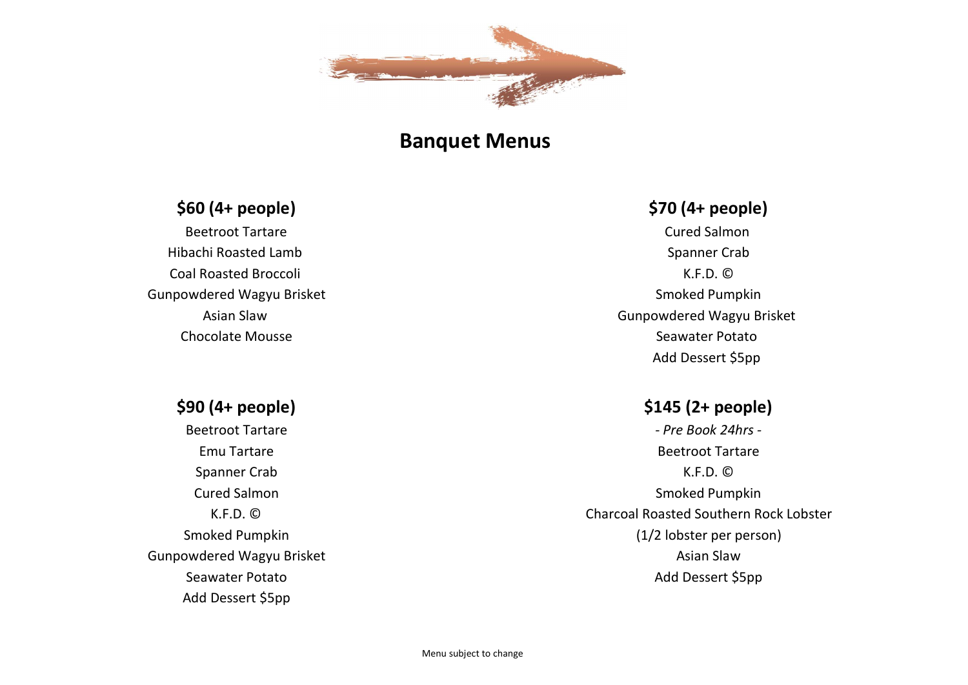

# Banquet Menus

## \$60 (4+ people)

Beetroot Tartare Hibachi Roasted Lamb Coal Roasted Broccoli Gunpowdered Wagyu Brisket Asian Slaw Chocolate Mousse

# \$70 (4+ people)

Cured Salmon Spanner Crab K.F.D. © Smoked Pumpkin Gunpowdered Wagyu Brisket Seawater Potato Add Dessert \$5pp

## \$145 (2+ people)

- Pre Book 24hrs - Beetroot Tartare K.F.D. © Smoked Pumpkin Charcoal Roasted Southern Rock Lobster (1/2 lobster per person) Asian Slaw Add Dessert \$5pp

## \$90 (4+ people)

Beetroot Tartare Emu Tartare Spanner Crab Cured Salmon K.F.D. © Smoked Pumpkin Gunpowdered Wagyu Brisket Seawater Potato Add Dessert \$5pp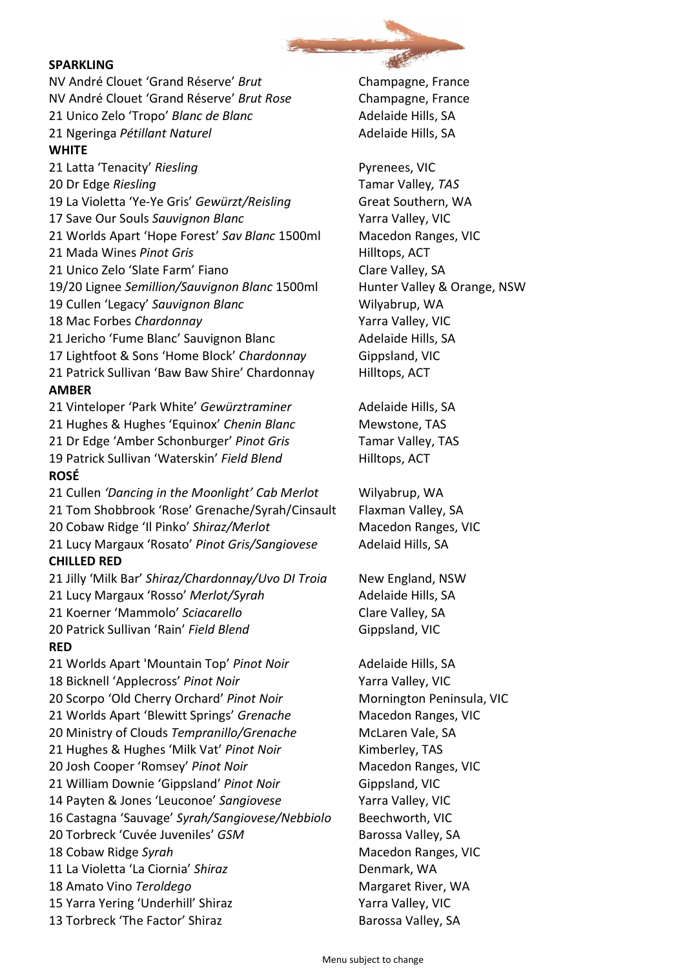## SPARKLING

NV André Clouet 'Grand Réserve' Brut Champagne, France NV André Clouet 'Grand Réserve' Brut Rose Champagne, France 21 Unico Zelo 'Tropo' Blanc de Blanc Adelaide Hills, SA 21 Ngeringa Pétillant Naturel **Adelaide Hills, SA WHITE** 21 Latta 'Tenacity' Riesling Pyrenees, VIC

20 Dr Edge Riesling Tamar Valley, TAS

19 La Violetta 'Ye-Ye Gris' Gewürzt/Reisling Great Southern, WA

17 Save Our Souls Sauvignon Blanc Valley, VIC

21 Worlds Apart 'Hope Forest' Sav Blanc 1500ml Macedon Ranges, VIC

21 Mada Wines Pinot Gris **Hilltops**, ACT

21 Unico Zelo 'Slate Farm' Fiano Clare Valley, SA

19/20 Lignee Semillion/Sauvignon Blanc 1500ml Hunter Valley & Orange, NSW

19 Cullen 'Legacy' Sauvignon Blanc Wilyabrup, WA

18 Mac Forbes Chardonnay The Control of March 2016 Valley, VIC

21 Jericho 'Fume Blanc' Sauvignon Blanc Adelaide Hills, SA

17 Lightfoot & Sons 'Home Block' Chardonnay Gippsland, VIC

21 Patrick Sullivan 'Baw Baw Shire' Chardonnay Hilltops, ACT AMBER

21 Vinteloper 'Park White' Gewürztraminer Adelaide Hills, SA 21 Hughes & Hughes 'Equinox' Chenin Blanc Mewstone, TAS 21 Dr Edge 'Amber Schonburger' Pinot Gris Tamar Valley, TAS 19 Patrick Sullivan 'Waterskin' Field Blend Hilltops, ACT ROSÉ

21 Cullen 'Dancing in the Moonlight' Cab Merlot Wilyabrup, WA 21 Tom Shobbrook 'Rose' Grenache/Syrah/Cinsault Flaxman Valley, SA 20 Cobaw Ridge 'Il Pinko' Shiraz/Merlot Macedon Ranges, VIC 21 Lucy Margaux 'Rosato' Pinot Gris/Sangiovese Adelaid Hills, SA CHILLED RED

21 Jilly 'Milk Bar' Shiraz/Chardonnay/Uvo DI Troia New England, NSW 21 Lucy Margaux 'Rosso' Merlot/Syrah Adelaide Hills, SA 21 Koerner 'Mammolo' Sciacarello Clare Valley, SA 20 Patrick Sullivan 'Rain' Field Blend Gippsland, VIC RED 21 Worlds Apart 'Mountain Top' Pinot Noir **Adelaide Hills, SA** 

18 Bicknell 'Applecross' Pinot Noir Varra Valley, VIC 20 Scorpo 'Old Cherry Orchard' Pinot Noir Mornington Peninsula, VIC 21 Worlds Apart 'Blewitt Springs' Grenache Macedon Ranges, VIC 20 Ministry of Clouds Tempranillo/Grenache McLaren Vale, SA 21 Hughes & Hughes 'Milk Vat' Pinot Noir Kimberley, TAS 20 Josh Cooper 'Romsey' Pinot Noir Macedon Ranges, VIC 21 William Downie 'Gippsland' Pinot Noir Gippsland, VIC 14 Payten & Jones 'Leuconoe' Sangiovese Yarra Valley, VIC 16 Castagna 'Sauvage' Syrah/Sangiovese/Nebbiolo Beechworth, VIC 20 Torbreck 'Cuvée Juveniles' GSM Barossa Valley, SA 18 Cobaw Ridge Syrah Macedon Ranges, VIC 11 La Violetta 'La Ciornia' Shiraz **Denmark, WA** 18 Amato Vino Teroldego Margaret River, WA 15 Yarra Yering 'Underhill' Shiraz Yarra Valley, VIC

13 Torbreck 'The Factor' Shiraz Barossa Valley, SA

Menu subject to change